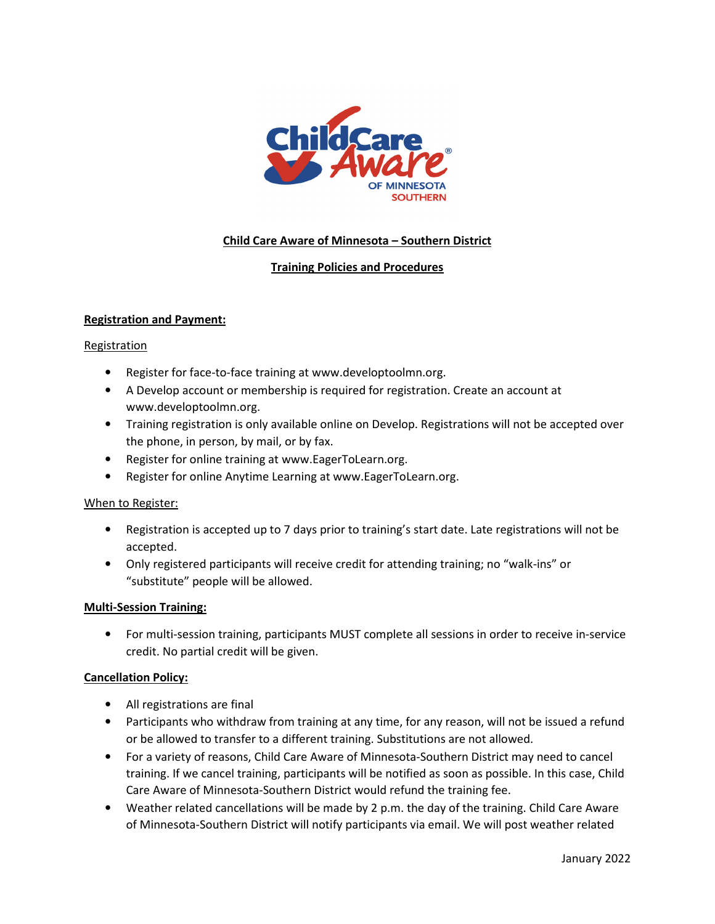

# **Child Care Aware of Minnesota – Southern District**

# **Training Policies and Procedures**

### **Registration and Payment:**

#### **Registration**

- Register for face-to-face training at www.developtoolmn.org.
- A Develop account or membership is required for registration. Create an account at www.developtoolmn.org.
- Training registration is only available online on Develop. Registrations will not be accepted over the phone, in person, by mail, or by fax.
- Register for online training at www.EagerToLearn.org.
- Register for online Anytime Learning at www.EagerToLearn.org.

### When to Register:

- Registration is accepted up to 7 days prior to training's start date. Late registrations will not be accepted.
- Only registered participants will receive credit for attending training; no "walk-ins" or "substitute" people will be allowed.

### **Multi-Session Training:**

• For multi-session training, participants MUST complete all sessions in order to receive in-service credit. No partial credit will be given.

### **Cancellation Policy:**

- All registrations are final
- Participants who withdraw from training at any time, for any reason, will not be issued a refund or be allowed to transfer to a different training. Substitutions are not allowed.
- For a variety of reasons, Child Care Aware of Minnesota-Southern District may need to cancel training. If we cancel training, participants will be notified as soon as possible. In this case, Child Care Aware of Minnesota-Southern District would refund the training fee.
- Weather related cancellations will be made by 2 p.m. the day of the training. Child Care Aware of Minnesota-Southern District will notify participants via email. We will post weather related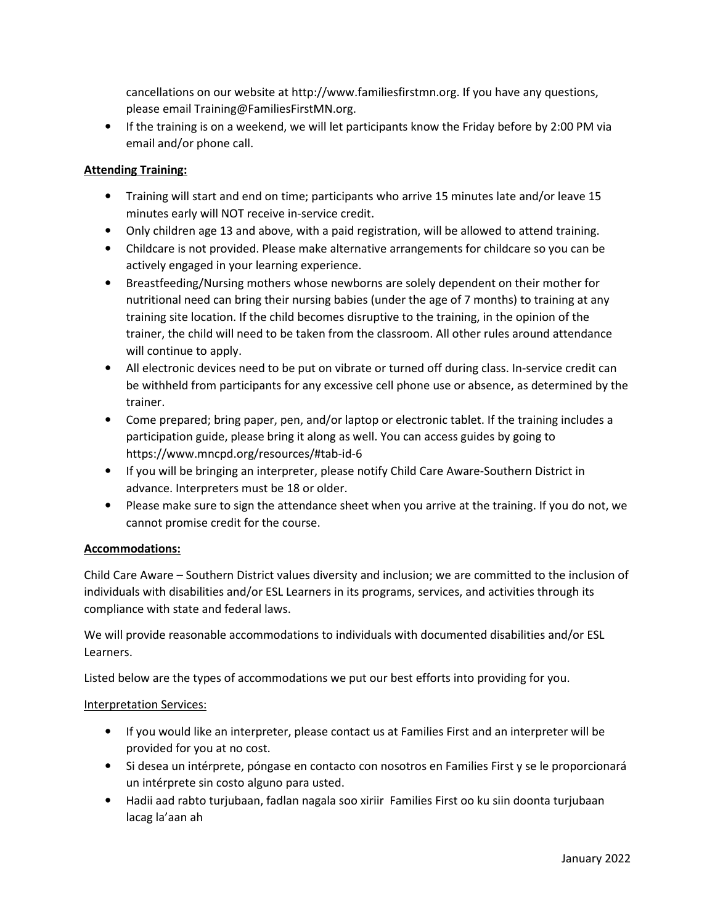cancellations on our website at http://www.familiesfirstmn.org. If you have any questions, please email Training@FamiliesFirstMN.org.

• If the training is on a weekend, we will let participants know the Friday before by 2:00 PM via email and/or phone call.

# **Attending Training:**

- Training will start and end on time; participants who arrive 15 minutes late and/or leave 15 minutes early will NOT receive in-service credit.
- Only children age 13 and above, with a paid registration, will be allowed to attend training.
- Childcare is not provided. Please make alternative arrangements for childcare so you can be actively engaged in your learning experience.
- Breastfeeding/Nursing mothers whose newborns are solely dependent on their mother for nutritional need can bring their nursing babies (under the age of 7 months) to training at any training site location. If the child becomes disruptive to the training, in the opinion of the trainer, the child will need to be taken from the classroom. All other rules around attendance will continue to apply.
- All electronic devices need to be put on vibrate or turned off during class. In-service credit can be withheld from participants for any excessive cell phone use or absence, as determined by the trainer.
- Come prepared; bring paper, pen, and/or laptop or electronic tablet. If the training includes a participation guide, please bring it along as well. You can access guides by going to https://www.mncpd.org/resources/#tab-id-6
- If you will be bringing an interpreter, please notify Child Care Aware-Southern District in advance. Interpreters must be 18 or older.
- Please make sure to sign the attendance sheet when you arrive at the training. If you do not, we cannot promise credit for the course.

### **Accommodations:**

Child Care Aware – Southern District values diversity and inclusion; we are committed to the inclusion of individuals with disabilities and/or ESL Learners in its programs, services, and activities through its compliance with state and federal laws.

We will provide reasonable accommodations to individuals with documented disabilities and/or ESL Learners.

Listed below are the types of accommodations we put our best efforts into providing for you.

### Interpretation Services:

- If you would like an interpreter, please contact us at Families First and an interpreter will be provided for you at no cost.
- Si desea un intérprete, póngase en contacto con nosotros en Families First y se le proporcionará un intérprete sin costo alguno para usted.
- Hadii aad rabto turjubaan, fadlan nagala soo xiriir Families First oo ku siin doonta turjubaan lacag la'aan ah